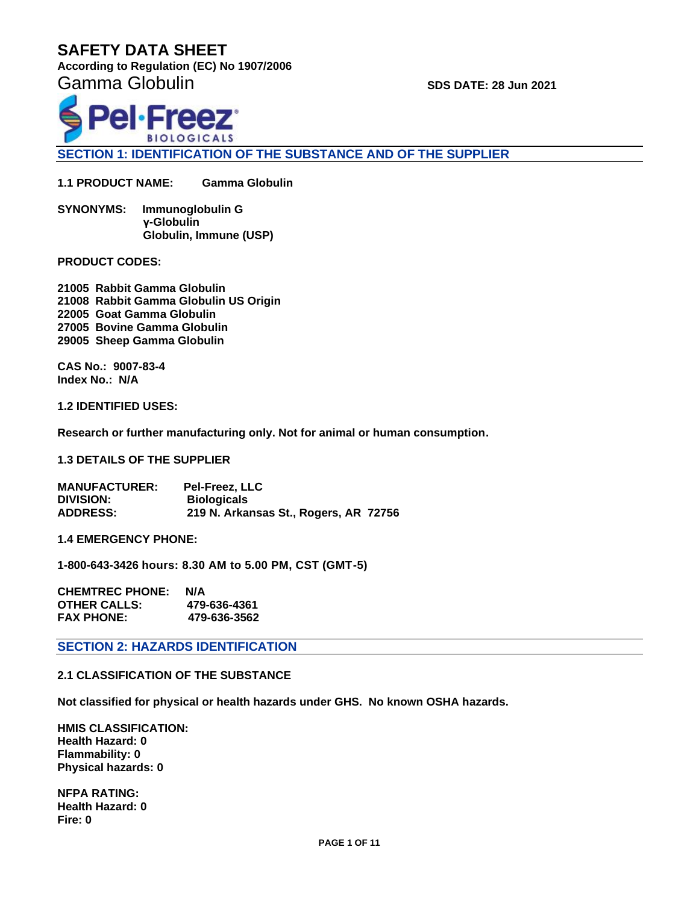**According to Regulation (EC) No 1907/2006** 

Gamma Globulin **SUSSE SUSSE** SPS DATE: 28 Jun 2021



**SECTION 1: IDENTIFICATION OF THE SUBSTANCE AND OF THE SUPPLIER**

**1.1 PRODUCT NAME: Gamma Globulin**

**SYNONYMS: Immunoglobulin G γ-Globulin Globulin, Immune (USP)** 

**PRODUCT CODES:** 

**21005 Rabbit Gamma Globulin 21008 Rabbit Gamma Globulin US Origin 22005 Goat Gamma Globulin 27005 Bovine Gamma Globulin 29005 Sheep Gamma Globulin**

**CAS No.: 9007-83-4 Index No.: N/A**

**1.2 IDENTIFIED USES:**

**Research or further manufacturing only. Not for animal or human consumption.**

**1.3 DETAILS OF THE SUPPLIER**

**MANUFACTURER: Pel-Freez, LLC Biologicals ADDRESS: 219 N. Arkansas St., Rogers, AR 72756**

**1.4 EMERGENCY PHONE:** 

**1-800-643-3426 hours: 8.30 AM to 5.00 PM, CST (GMT-5)**

| <b>CHEMTREC PHONE:</b> | N/A          |
|------------------------|--------------|
| <b>OTHER CALLS:</b>    | 479-636-4361 |
| <b>FAX PHONE:</b>      | 479-636-3562 |

**SECTION 2: HAZARDS IDENTIFICATION**

**2.1 CLASSIFICATION OF THE SUBSTANCE**

**Not classified for physical or health hazards under GHS. No known OSHA hazards.**

**HMIS CLASSIFICATION: Health Hazard: 0 Flammability: 0 Physical hazards: 0**

**NFPA RATING: Health Hazard: 0 Fire: 0**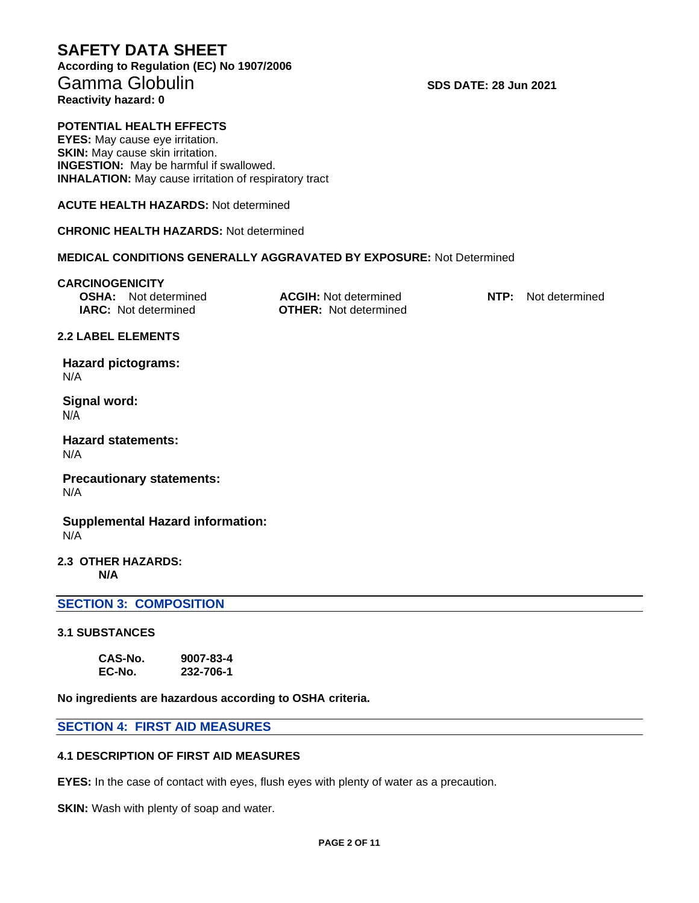**According to Regulation (EC) No 1907/2006**  Gamma Globulin **SUSSE SUSSE** SPS DATE: 28 Jun 2021 **Reactivity hazard: 0**

## **POTENTIAL HEALTH EFFECTS**

**EYES:** May cause eye irritation. **SKIN:** May cause skin irritation. **INGESTION:** May be harmful if swallowed. **INHALATION:** May cause irritation of respiratory tract

**ACUTE HEALTH HAZARDS:** Not determined

**CHRONIC HEALTH HAZARDS:** Not determined

## **MEDICAL CONDITIONS GENERALLY AGGRAVATED BY EXPOSURE:** Not Determined

#### **CARCINOGENICITY**

| <b>OSHA:</b> Not determined | <b>ACGIH:</b> Not determined | <b>NTP:</b> Not determined |
|-----------------------------|------------------------------|----------------------------|
| <b>IARC:</b> Not determined | <b>OTHER:</b> Not determined |                            |

#### **2.2 LABEL ELEMENTS**

**Hazard pictograms:** N/A

**Signal word:** N/A

**Hazard statements:** N/A

**Precautionary statements:** N/A

**Supplemental Hazard information:** N/A

#### **2.3 OTHER HAZARDS: N/A**

#### **SECTION 3: COMPOSITION**

#### **3.1 SUBSTANCES**

**CAS-No. 9007-83-4 EC-No. 232-706-1**

**No ingredients are hazardous according to OSHA criteria.**

#### **SECTION 4: FIRST AID MEASURES**

#### **4.1 DESCRIPTION OF FIRST AID MEASURES**

**EYES:** In the case of contact with eyes, flush eyes with plenty of water as a precaution.

**SKIN:** Wash with plenty of soap and water.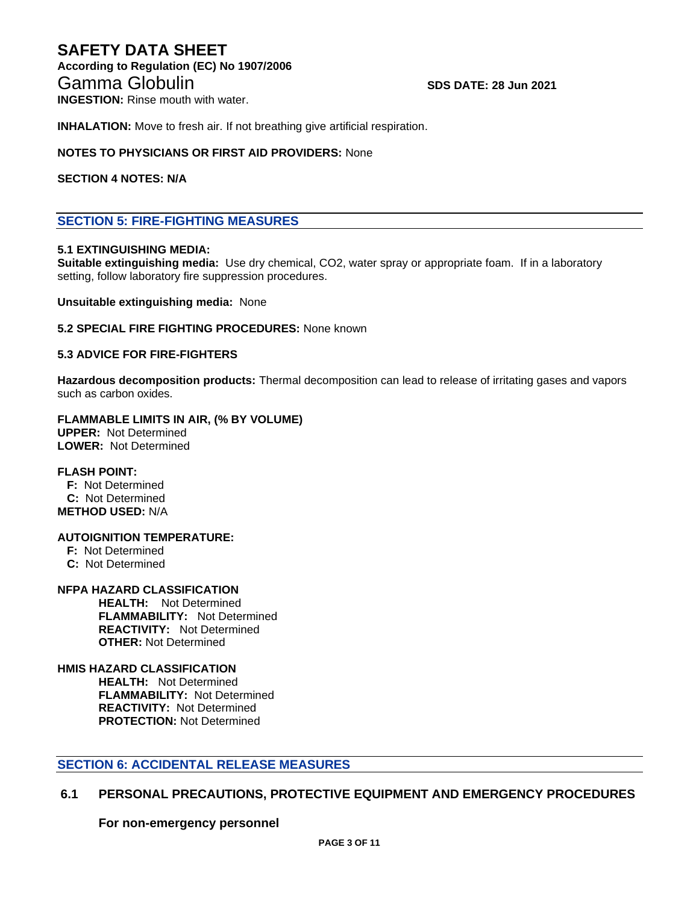# **SAFETY DATA SHEET According to Regulation (EC) No 1907/2006**  Gamma Globulin **SDS DATE: 28 Jun 2021**

**INGESTION:** Rinse mouth with water.

**INHALATION:** Move to fresh air. If not breathing give artificial respiration.

#### **NOTES TO PHYSICIANS OR FIRST AID PROVIDERS:** None

#### **SECTION 4 NOTES: N/A**

## **SECTION 5: FIRE-FIGHTING MEASURES**

#### **5.1 EXTINGUISHING MEDIA:**

**Suitable extinguishing media:** Use dry chemical, CO2, water spray or appropriate foam. If in a laboratory setting, follow laboratory fire suppression procedures.

**Unsuitable extinguishing media:** None

#### **5.2 SPECIAL FIRE FIGHTING PROCEDURES:** None known

#### **5.3 ADVICE FOR FIRE-FIGHTERS**

**Hazardous decomposition products:** Thermal decomposition can lead to release of irritating gases and vapors such as carbon oxides.

#### **FLAMMABLE LIMITS IN AIR, (% BY VOLUME) UPPER:** Not Determined

**LOWER:** Not Determined

#### **FLASH POINT:**

 **F:** Not Determined  **C:** Not Determined **METHOD USED:** N/A

#### **AUTOIGNITION TEMPERATURE:**

- **F:** Not Determined
- **C:** Not Determined

#### **NFPA HAZARD CLASSIFICATION**

 **HEALTH:** Not Determined **FLAMMABILITY:** Not Determined **REACTIVITY:** Not Determined  **OTHER:** Not Determined

#### **HMIS HAZARD CLASSIFICATION**

 **HEALTH:** Not Determined **FLAMMABILITY:** Not Determined **REACTIVITY:** Not Determined  **PROTECTION:** Not Determined

## **SECTION 6: ACCIDENTAL RELEASE MEASURES**

## **6.1 PERSONAL PRECAUTIONS, PROTECTIVE EQUIPMENT AND EMERGENCY PROCEDURES**

**For non-emergency personnel**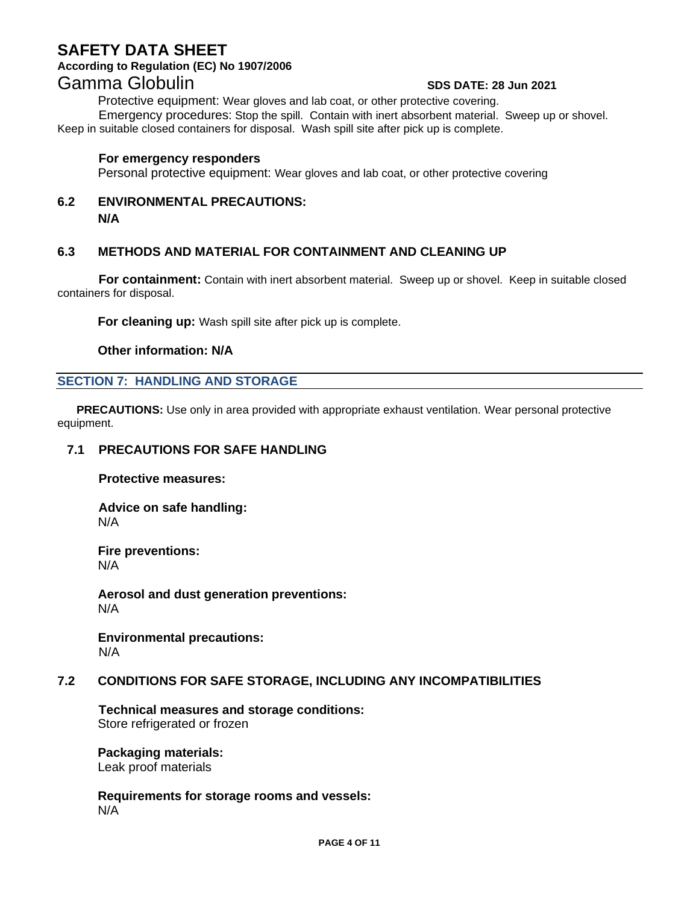## **According to Regulation (EC) No 1907/2006**

# Gamma Globulin **SUSSE SUSSE** SPS DATE: 28 Jun 2021

Protective equipment: Wear gloves and lab coat, or other protective covering.

Emergency procedures: Stop the spill. Contain with inert absorbent material. Sweep up or shovel. Keep in suitable closed containers for disposal. Wash spill site after pick up is complete.

## **For emergency responders**

Personal protective equipment: Wear gloves and lab coat, or other protective covering

## **6.2 ENVIRONMENTAL PRECAUTIONS: N/A**

## **6.3 METHODS AND MATERIAL FOR CONTAINMENT AND CLEANING UP**

**For containment:** Contain with inert absorbent material. Sweep up or shovel. Keep in suitable closed containers for disposal.

**For cleaning up:** Wash spill site after pick up is complete.

## **Other information: N/A**

## **SECTION 7: HANDLING AND STORAGE**

 **PRECAUTIONS:** Use only in area provided with appropriate exhaust ventilation. Wear personal protective equipment.

## **7.1 PRECAUTIONS FOR SAFE HANDLING**

**Protective measures:**

**Advice on safe handling:** N/A

**Fire preventions:** N/A

**Aerosol and dust generation preventions:** N/A

**Environmental precautions:** N/A

## **7.2 CONDITIONS FOR SAFE STORAGE, INCLUDING ANY INCOMPATIBILITIES**

**Technical measures and storage conditions:** Store refrigerated or frozen

**Packaging materials:** Leak proof materials

**Requirements for storage rooms and vessels:** N/A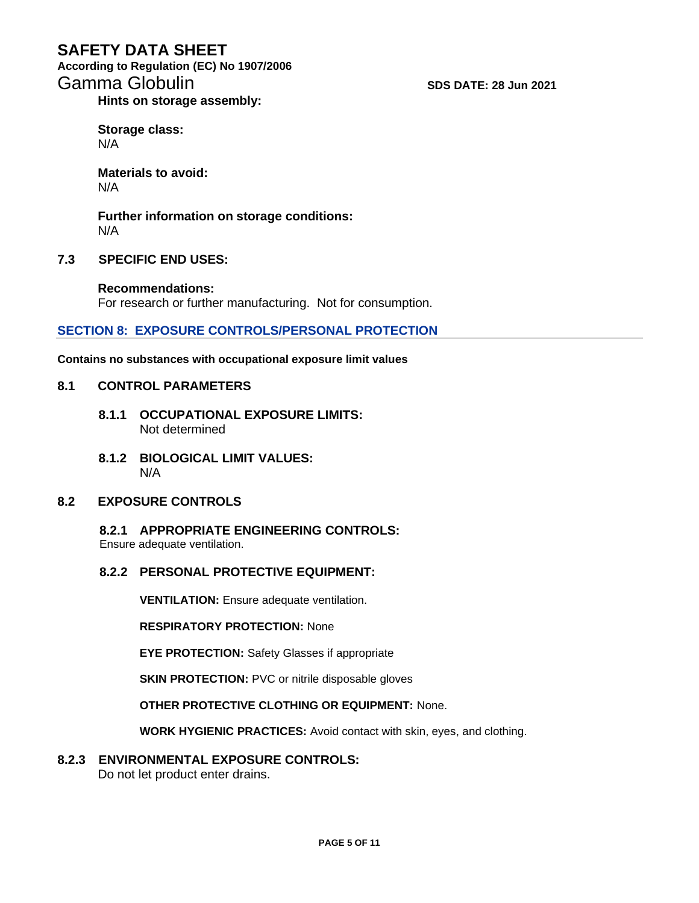**According to Regulation (EC) No 1907/2006**  Gamma Globulin **SCS** Camma Globulin **SDS** DATE: 28 Jun 2021

**Hints on storage assembly:**

**Storage class:** N/A

**Materials to avoid:** N/A

**Further information on storage conditions:** N/A

## **7.3 SPECIFIC END USES:**

**Recommendations:** For research or further manufacturing. Not for consumption.

## **SECTION 8: EXPOSURE CONTROLS/PERSONAL PROTECTION**

**Contains no substances with occupational exposure limit values**

#### **8.1 CONTROL PARAMETERS**

- **8.1.1 OCCUPATIONAL EXPOSURE LIMITS:** Not determined
- **8.1.2 BIOLOGICAL LIMIT VALUES:** N/A

## **8.2 EXPOSURE CONTROLS**

**8.2.1 APPROPRIATE ENGINEERING CONTROLS:**

Ensure adequate ventilation.

## **8.2.2 PERSONAL PROTECTIVE EQUIPMENT:**

**VENTILATION:** Ensure adequate ventilation.

**RESPIRATORY PROTECTION:** None

**EYE PROTECTION:** Safety Glasses if appropriate

**SKIN PROTECTION: PVC or nitrile disposable gloves** 

**OTHER PROTECTIVE CLOTHING OR EQUIPMENT:** None.

**WORK HYGIENIC PRACTICES:** Avoid contact with skin, eyes, and clothing.

## **8.2.3 ENVIRONMENTAL EXPOSURE CONTROLS:**

Do not let product enter drains.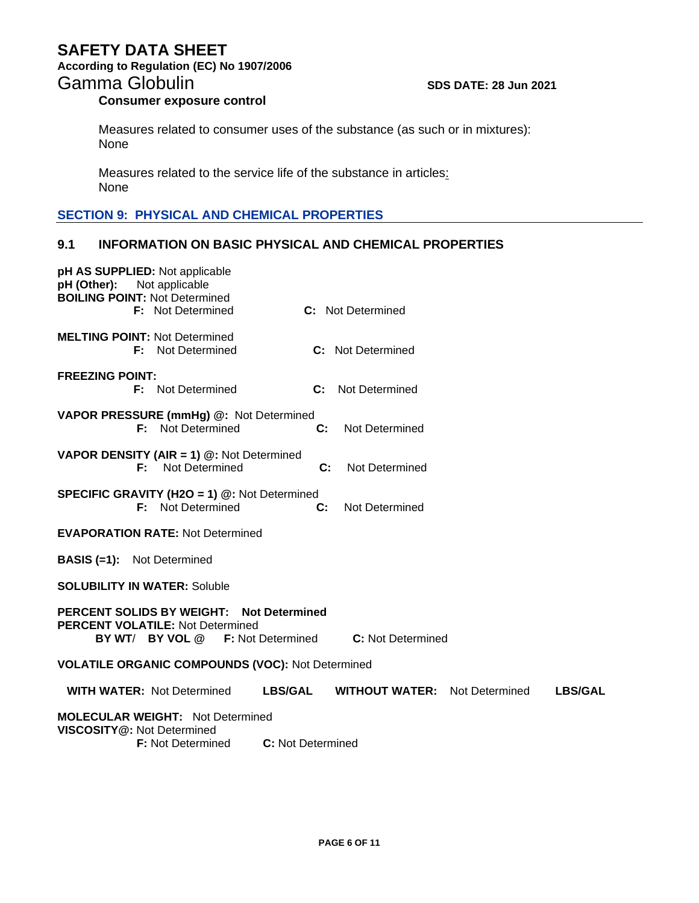**According to Regulation (EC) No 1907/2006** 

# Gamma Globulin **SCC 100 SDS DATE: 28 Jun 2021**

## **Consumer exposure control**

Measures related to consumer uses of the substance (as such or in mixtures): None

Measures related to the service life of the substance in articles: None

## **SECTION 9: PHYSICAL AND CHEMICAL PROPERTIES**

## **9.1 INFORMATION ON BASIC PHYSICAL AND CHEMICAL PROPERTIES**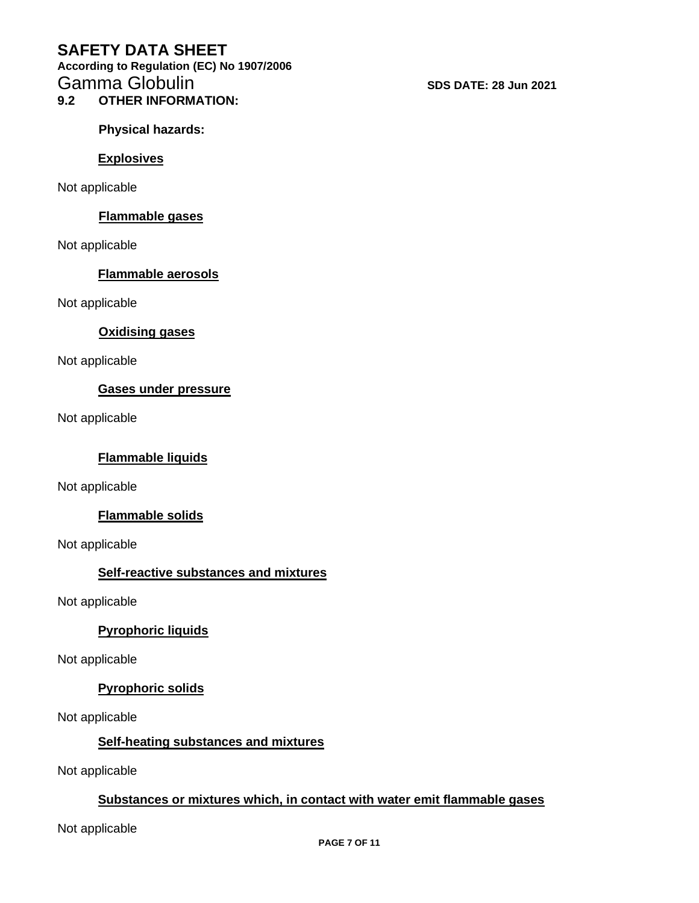**According to Regulation (EC) No 1907/2006**  Gamma Globulin **SCC 28 June 2021** SDS DATE: 28 Jun 2021

**9.2 OTHER INFORMATION:**

**Physical hazards:**

## **Explosives**

Not applicable

## **Flammable gases**

Not applicable

## **Flammable aerosols**

Not applicable

## **Oxidising gases**

Not applicable

## **Gases under pressure**

Not applicable

## **Flammable liquids**

Not applicable

## **Flammable solids**

Not applicable

## **Self-reactive substances and mixtures**

Not applicable

## **Pyrophoric liquids**

Not applicable

## **Pyrophoric solids**

Not applicable

## **Self-heating substances and mixtures**

Not applicable

## **Substances or mixtures which, in contact with water emit flammable gases**

Not applicable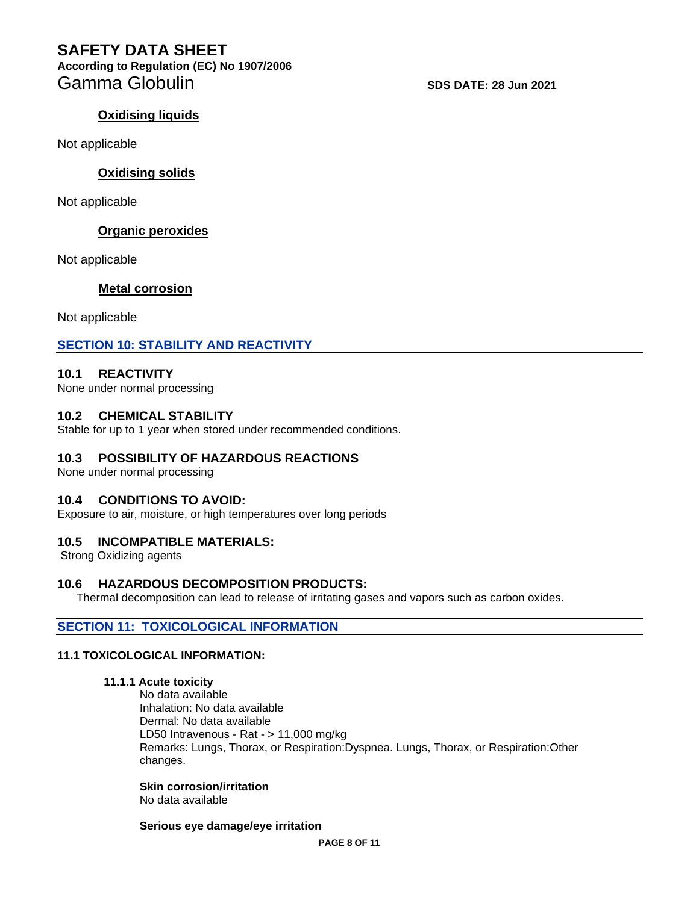**According to Regulation (EC) No 1907/2006**  Gamma Globulin **SUS DATE:** 28 Jun 2021

## **Oxidising liquids**

Not applicable

## **Oxidising solids**

Not applicable

## **Organic peroxides**

Not applicable

## **Metal corrosion**

Not applicable

## **SECTION 10: STABILITY AND REACTIVITY**

## **10.1 REACTIVITY**

None under normal processing

## **10.2 CHEMICAL STABILITY**

Stable for up to 1 year when stored under recommended conditions.

## **10.3 POSSIBILITY OF HAZARDOUS REACTIONS**

None under normal processing

## **10.4 CONDITIONS TO AVOID:**

Exposure to air, moisture, or high temperatures over long periods

## **10.5 INCOMPATIBLE MATERIALS:**

Strong Oxidizing agents

## **10.6 HAZARDOUS DECOMPOSITION PRODUCTS:**

Thermal decomposition can lead to release of irritating gases and vapors such as carbon oxides.

## **SECTION 11: TOXICOLOGICAL INFORMATION**

## **11.1 TOXICOLOGICAL INFORMATION:**

#### **11.1.1 Acute toxicity**

No data available Inhalation: No data available Dermal: No data available LD50 Intravenous - Rat - > 11,000 mg/kg Remarks: Lungs, Thorax, or Respiration:Dyspnea. Lungs, Thorax, or Respiration:Other changes.

**Skin corrosion/irritation** No data available

**Serious eye damage/eye irritation**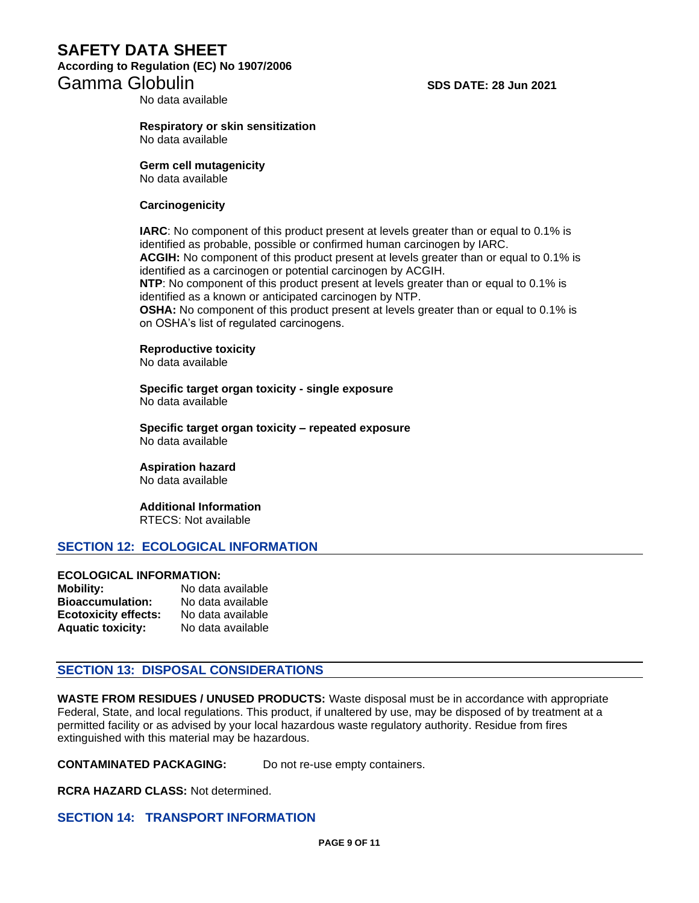## **SAFETY DATA SHEET According to Regulation (EC) No 1907/2006**  Gamma Globulin **SDS DATE: 28 Jun 2021**

No data available

#### **Respiratory or skin sensitization** No data available

**Germ cell mutagenicity** No data available

#### **Carcinogenicity**

**IARC**: No component of this product present at levels greater than or equal to 0.1% is identified as probable, possible or confirmed human carcinogen by IARC. **ACGIH:** No component of this product present at levels greater than or equal to 0.1% is

identified as a carcinogen or potential carcinogen by ACGIH.

**NTP**: No component of this product present at levels greater than or equal to 0.1% is identified as a known or anticipated carcinogen by NTP.

**OSHA:** No component of this product present at levels greater than or equal to 0.1% is on OSHA's list of regulated carcinogens.

**Reproductive toxicity**

No data available

**Specific target organ toxicity - single exposure** No data available

**Specific target organ toxicity – repeated exposure** No data available

**Aspiration hazard** No data available

**Additional Information** RTECS: Not available

#### **SECTION 12: ECOLOGICAL INFORMATION**

#### **ECOLOGICAL INFORMATION:**

| <b>Mobility:</b>            | No data available |
|-----------------------------|-------------------|
| <b>Bioaccumulation:</b>     | No data available |
| <b>Ecotoxicity effects:</b> | No data available |
| <b>Aquatic toxicity:</b>    | No data available |

## **SECTION 13: DISPOSAL CONSIDERATIONS**

**WASTE FROM RESIDUES / UNUSED PRODUCTS:** Waste disposal must be in accordance with appropriate Federal, State, and local regulations. This product, if unaltered by use, may be disposed of by treatment at a permitted facility or as advised by your local hazardous waste regulatory authority. Residue from fires extinguished with this material may be hazardous.

**CONTAMINATED PACKAGING:** Do not re-use empty containers.

**RCRA HAZARD CLASS:** Not determined.

**SECTION 14: TRANSPORT INFORMATION**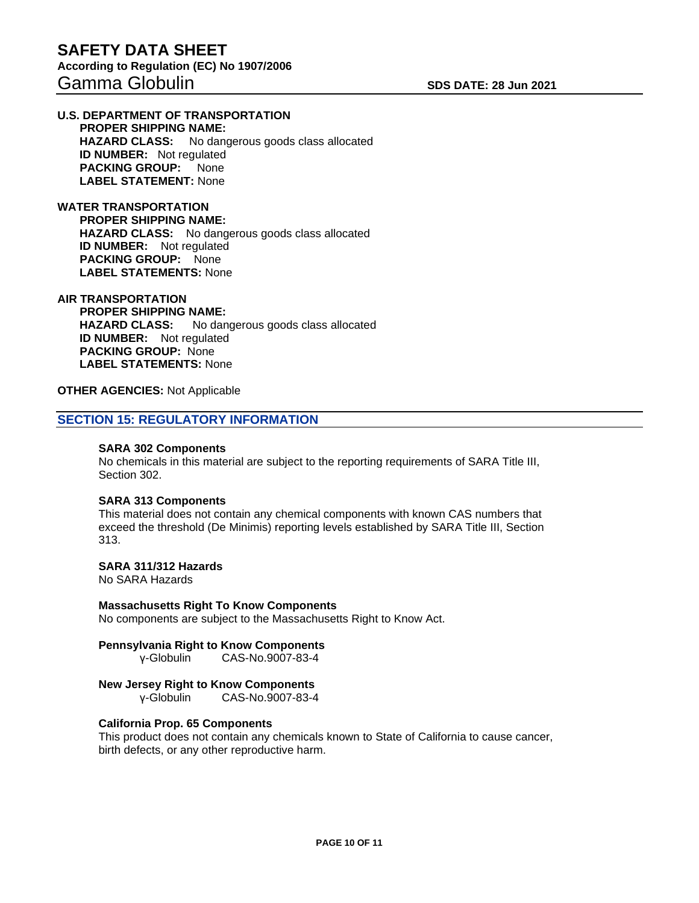#### **U.S. DEPARTMENT OF TRANSPORTATION PROPER SHIPPING NAME: HAZARD CLASS:** No dangerous goods class allocated **ID NUMBER:** Not regulated **PACKING GROUP:** None **LABEL STATEMENT:** None

**WATER TRANSPORTATION PROPER SHIPPING NAME: HAZARD CLASS:** No dangerous goods class allocated **ID NUMBER:** Not regulated  **PACKING GROUP:** None **LABEL STATEMENTS:** None

#### **AIR TRANSPORTATION**

 **PROPER SHIPPING NAME: HAZARD CLASS:** No dangerous goods class allocated **ID NUMBER:** Not regulated **PACKING GROUP:** None **LABEL STATEMENTS:** None

#### **OTHER AGENCIES:** Not Applicable

## **SECTION 15: REGULATORY INFORMATION**

#### **SARA 302 Components**

No chemicals in this material are subject to the reporting requirements of SARA Title III, Section 302.

#### **SARA 313 Components**

This material does not contain any chemical components with known CAS numbers that exceed the threshold (De Minimis) reporting levels established by SARA Title III, Section 313.

#### **SARA 311/312 Hazards**

No SARA Hazards

#### **Massachusetts Right To Know Components**

No components are subject to the Massachusetts Right to Know Act.

# **Pennsylvania Right to Know Components**

γ-Globulin CAS-No.9007-83-4

#### **New Jersey Right to Know Components**

γ-Globulin CAS-No.9007-83-4

#### **California Prop. 65 Components**

This product does not contain any chemicals known to State of California to cause cancer, birth defects, or any other reproductive harm.